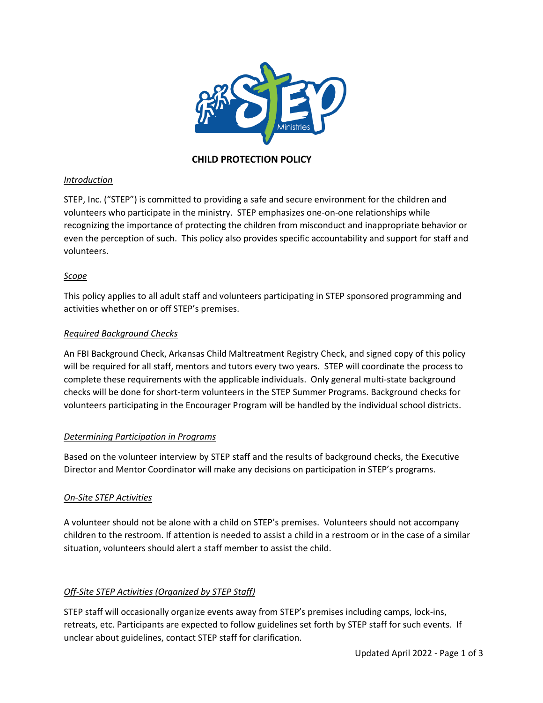

# **CHILD PROTECTION POLICY**

### *Introduction*

STEP, Inc. ("STEP") is committed to providing a safe and secure environment for the children and volunteers who participate in the ministry. STEP emphasizes one-on-one relationships while recognizing the importance of protecting the children from misconduct and inappropriate behavior or even the perception of such. This policy also provides specific accountability and support for staff and volunteers.

## *Scope*

This policy applies to all adult staff and volunteers participating in STEP sponsored programming and activities whether on or off STEP's premises.

### *Required Background Checks*

An FBI Background Check, Arkansas Child Maltreatment Registry Check, and signed copy of this policy will be required for all staff, mentors and tutors every two years. STEP will coordinate the process to complete these requirements with the applicable individuals. Only general multi-state background checks will be done for short-term volunteers in the STEP Summer Programs. Background checks for volunteers participating in the Encourager Program will be handled by the individual school districts.

## *Determining Participation in Programs*

Based on the volunteer interview by STEP staff and the results of background checks, the Executive Director and Mentor Coordinator will make any decisions on participation in STEP's programs.

#### *On-Site STEP Activities*

A volunteer should not be alone with a child on STEP's premises. Volunteers should not accompany children to the restroom. If attention is needed to assist a child in a restroom or in the case of a similar situation, volunteers should alert a staff member to assist the child.

#### *Off-Site STEP Activities (Organized by STEP Staff)*

STEP staff will occasionally organize events away from STEP's premises including camps, lock-ins, retreats, etc. Participants are expected to follow guidelines set forth by STEP staff for such events. If unclear about guidelines, contact STEP staff for clarification.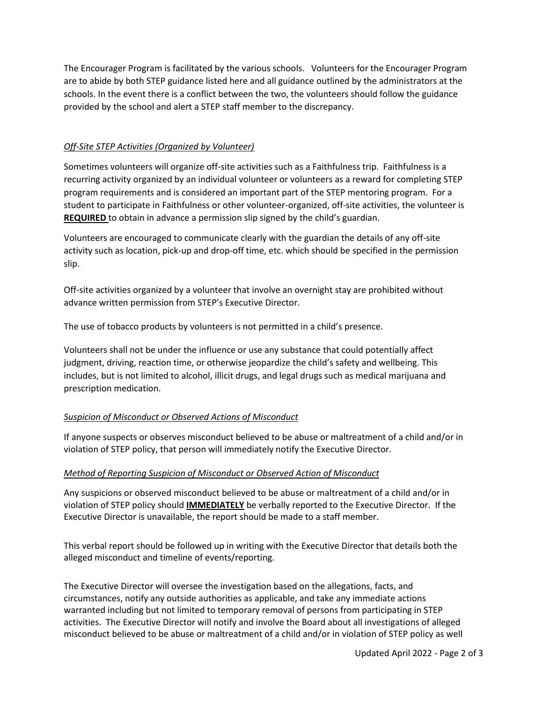The Encourager Program is facilitated by the various schools. Volunteers for the Encourager Program are to abide by both STEP guidance listed here and all guidance outlined by the administrators at the schools. In the event there is a conflict between the two, the volunteers should follow the guidance provided by the school and alert a STEP staff member to the discrepancy.

### *Off-Site STEP Activities (Organized by Volunteer)*

Sometimes volunteers will organize off-site activities such as a Faithfulness trip. Faithfulness is a recurring activity organized by an individual volunteer or volunteers as a reward for completing STEP program requirements and is considered an important part of the STEP mentoring program. For a student to participate in Faithfulness or other volunteer-organized, off-site activities, the volunteer is **REQUIRED** to obtain in advance a permission slip signed by the child's guardian.

Volunteers are encouraged to communicate clearly with the guardian the details of any off-site activity such as location, pick-up and drop-off time, etc. which should be specified in the permission slip.

Off-site activities organized by a volunteer that involve an overnight stay are prohibited without advance written permission from STEP's Executive Director.

The use of tobacco products by volunteers is not permitted in a child's presence.

Volunteers shall not be under the influence or use any substance that could potentially affect judgment, driving, reaction time, or otherwise jeopardize the child's safety and wellbeing. This includes, but is not limited to alcohol, illicit drugs, and legal drugs such as medical marijuana and prescription medication.

#### *Suspicion of Misconduct or Observed Actions of Misconduct*

If anyone suspects or observes misconduct believed to be abuse or maltreatment of a child and/or in violation of STEP policy, that person will immediately notify the Executive Director.

#### *Method of Reporting Suspicion of Misconduct or Observed Action of Misconduct*

Any suspicions or observed misconduct believed to be abuse or maltreatment of a child and/or in violation of STEP policy should **IMMEDIATELY** be verbally reported to the Executive Director. If the Executive Director is unavailable, the report should be made to a staff member.

This verbal report should be followed up in writing with the Executive Director that details both the alleged misconduct and timeline of events/reporting.

The Executive Director will oversee the investigation based on the allegations, facts, and circumstances, notify any outside authorities as applicable, and take any immediate actions warranted including but not limited to temporary removal of persons from participating in STEP activities. The Executive Director will notify and involve the Board about all investigations of alleged misconduct believed to be abuse or maltreatment of a child and/or in violation of STEP policy as well